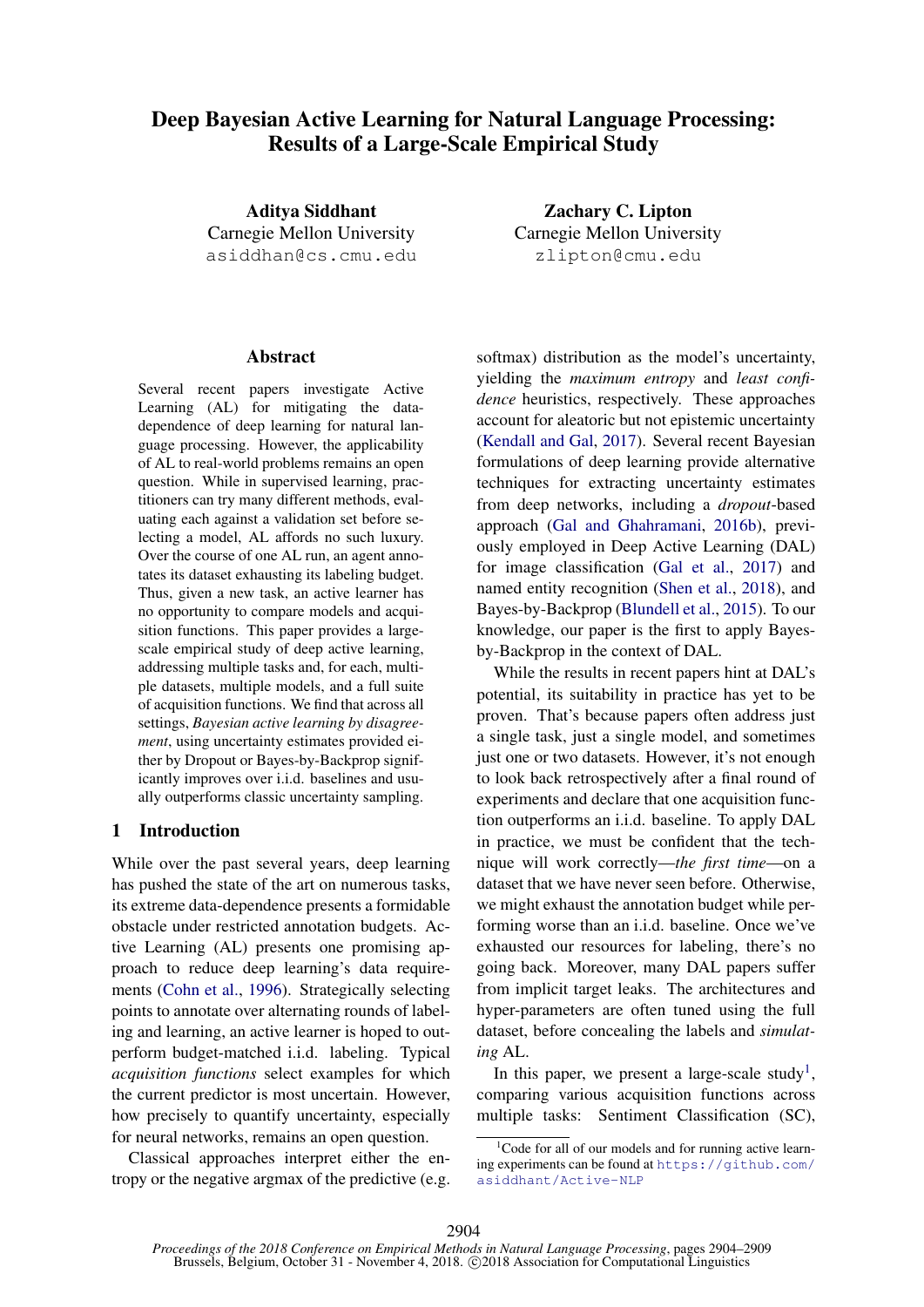# Deep Bayesian Active Learning for Natural Language Processing: Results of a Large-Scale Empirical Study

Aditya Siddhant Carnegie Mellon University asiddhan@cs.cmu.edu

### Abstract

Several recent papers investigate Active Learning (AL) for mitigating the datadependence of deep learning for natural language processing. However, the applicability of AL to real-world problems remains an open question. While in supervised learning, practitioners can try many different methods, evaluating each against a validation set before selecting a model, AL affords no such luxury. Over the course of one AL run, an agent annotates its dataset exhausting its labeling budget. Thus, given a new task, an active learner has no opportunity to compare models and acquisition functions. This paper provides a largescale empirical study of deep active learning, addressing multiple tasks and, for each, multiple datasets, multiple models, and a full suite of acquisition functions. We find that across all settings, *Bayesian active learning by disagreement*, using uncertainty estimates provided either by Dropout or Bayes-by-Backprop significantly improves over i.i.d. baselines and usually outperforms classic uncertainty sampling.

### 1 Introduction

While over the past several years, deep learning has pushed the state of the art on numerous tasks, its extreme data-dependence presents a formidable obstacle under restricted annotation budgets. Active Learning (AL) presents one promising approach to reduce deep learning's data requirements [\(Cohn et al.,](#page-5-0) [1996\)](#page-5-0). Strategically selecting points to annotate over alternating rounds of labeling and learning, an active learner is hoped to outperform budget-matched i.i.d. labeling. Typical *acquisition functions* select examples for which the current predictor is most uncertain. However, how precisely to quantify uncertainty, especially for neural networks, remains an open question.

Classical approaches interpret either the entropy or the negative argmax of the predictive (e.g.

Zachary C. Lipton Carnegie Mellon University zlipton@cmu.edu

softmax) distribution as the model's uncertainty, yielding the *maximum entropy* and *least confidence* heuristics, respectively. These approaches account for aleatoric but not epistemic uncertainty [\(Kendall and Gal,](#page-5-1) [2017\)](#page-5-1). Several recent Bayesian formulations of deep learning provide alternative techniques for extracting uncertainty estimates from deep networks, including a *dropout*-based approach [\(Gal and Ghahramani,](#page-5-2) [2016b\)](#page-5-2), previously employed in Deep Active Learning (DAL) for image classification [\(Gal et al.,](#page-5-3) [2017\)](#page-5-3) and named entity recognition [\(Shen et al.,](#page-5-4) [2018\)](#page-5-4), and Bayes-by-Backprop [\(Blundell et al.,](#page-5-5) [2015\)](#page-5-5). To our knowledge, our paper is the first to apply Bayesby-Backprop in the context of DAL.

While the results in recent papers hint at DAL's potential, its suitability in practice has yet to be proven. That's because papers often address just a single task, just a single model, and sometimes just one or two datasets. However, it's not enough to look back retrospectively after a final round of experiments and declare that one acquisition function outperforms an i.i.d. baseline. To apply DAL in practice, we must be confident that the technique will work correctly—*the first time*—on a dataset that we have never seen before. Otherwise, we might exhaust the annotation budget while performing worse than an i.i.d. baseline. Once we've exhausted our resources for labeling, there's no going back. Moreover, many DAL papers suffer from implicit target leaks. The architectures and hyper-parameters are often tuned using the full dataset, before concealing the labels and *simulating* AL.

In this paper, we present a large-scale study<sup>[1](#page-0-0)</sup>, comparing various acquisition functions across multiple tasks: Sentiment Classification (SC),

<span id="page-0-0"></span><sup>&</sup>lt;sup>1</sup>Code for all of our models and for running active learning experiments can be found at [https://github.com/](https://github.com/asiddhant/Active-NLP) [asiddhant/Active-NLP](https://github.com/asiddhant/Active-NLP)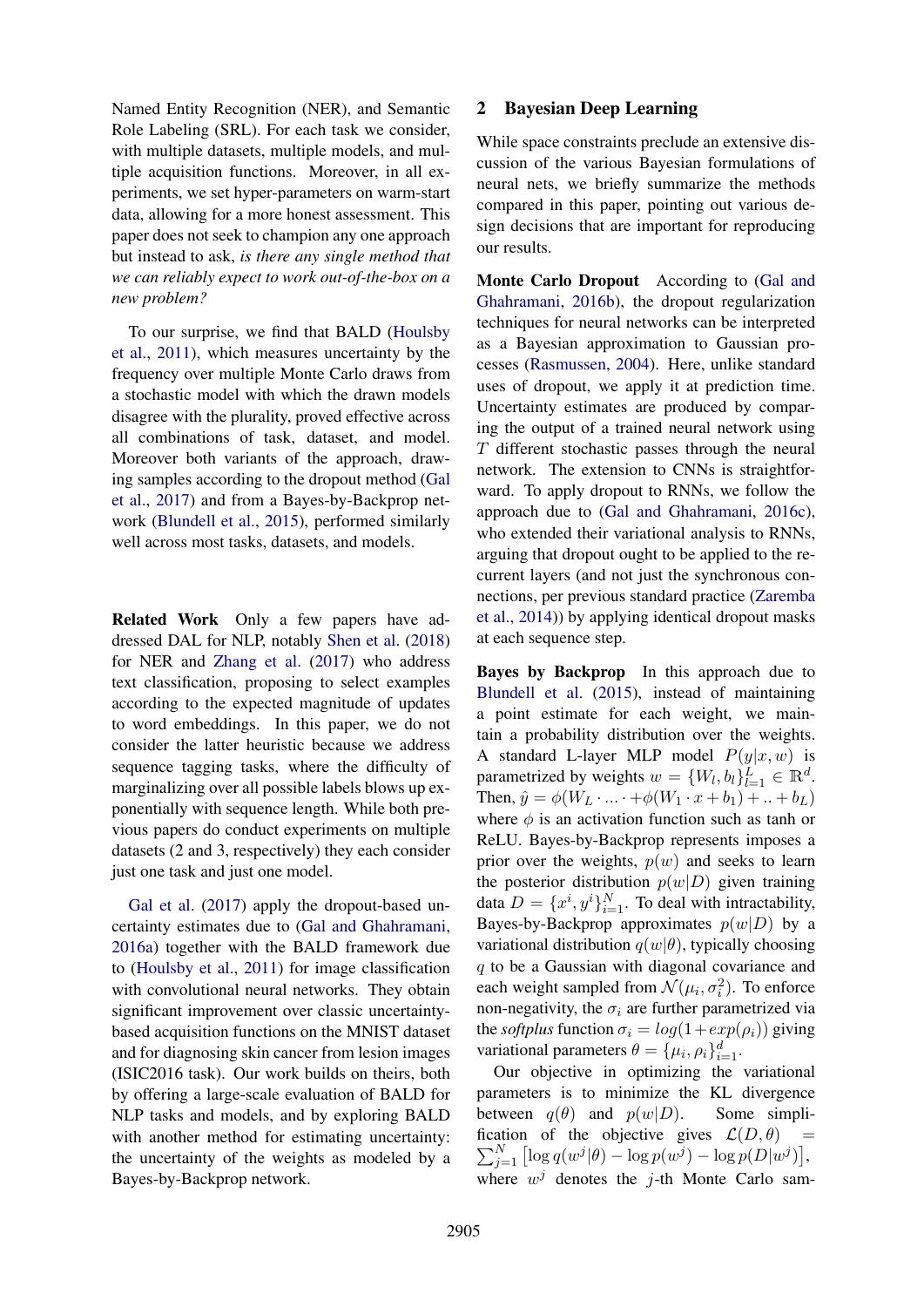Named Entity Recognition (NER), and Semantic Role Labeling (SRL). For each task we consider, with multiple datasets, multiple models, and multiple acquisition functions. Moreover, in all experiments, we set hyper-parameters on warm-start data, allowing for a more honest assessment. This paper does not seek to champion any one approach but instead to ask, *is there any single method that we can reliably expect to work out-of-the-box on a new problem?*

To our surprise, we find that BALD [\(Houlsby](#page-5-6) [et al.,](#page-5-6) [2011\)](#page-5-6), which measures uncertainty by the frequency over multiple Monte Carlo draws from a stochastic model with which the drawn models disagree with the plurality, proved effective across all combinations of task, dataset, and model. Moreover both variants of the approach, drawing samples according to the dropout method [\(Gal](#page-5-3) [et al.,](#page-5-3) [2017\)](#page-5-3) and from a Bayes-by-Backprop network [\(Blundell et al.,](#page-5-5) [2015\)](#page-5-5), performed similarly well across most tasks, datasets, and models.

Related Work Only a few papers have addressed DAL for NLP, notably [Shen et al.](#page-5-4) [\(2018\)](#page-5-4) for NER and [Zhang et al.](#page-5-7) [\(2017\)](#page-5-7) who address text classification, proposing to select examples according to the expected magnitude of updates to word embeddings. In this paper, we do not consider the latter heuristic because we address sequence tagging tasks, where the difficulty of marginalizing over all possible labels blows up exponentially with sequence length. While both previous papers do conduct experiments on multiple datasets (2 and 3, respectively) they each consider just one task and just one model.

[Gal et al.](#page-5-3) [\(2017\)](#page-5-3) apply the dropout-based uncertainty estimates due to [\(Gal and Ghahramani,](#page-5-8) [2016a\)](#page-5-8) together with the BALD framework due to [\(Houlsby et al.,](#page-5-6) [2011\)](#page-5-6) for image classification with convolutional neural networks. They obtain significant improvement over classic uncertaintybased acquisition functions on the MNIST dataset and for diagnosing skin cancer from lesion images (ISIC2016 task). Our work builds on theirs, both by offering a large-scale evaluation of BALD for NLP tasks and models, and by exploring BALD with another method for estimating uncertainty: the uncertainty of the weights as modeled by a Bayes-by-Backprop network.

## 2 Bayesian Deep Learning

While space constraints preclude an extensive discussion of the various Bayesian formulations of neural nets, we briefly summarize the methods compared in this paper, pointing out various design decisions that are important for reproducing our results.

Monte Carlo Dropout According to [\(Gal and](#page-5-2) [Ghahramani,](#page-5-2) [2016b\)](#page-5-2), the dropout regularization techniques for neural networks can be interpreted as a Bayesian approximation to Gaussian processes [\(Rasmussen,](#page-5-9) [2004\)](#page-5-9). Here, unlike standard uses of dropout, we apply it at prediction time. Uncertainty estimates are produced by comparing the output of a trained neural network using T different stochastic passes through the neural network. The extension to CNNs is straightforward. To apply dropout to RNNs, we follow the approach due to [\(Gal and Ghahramani,](#page-5-10) [2016c\)](#page-5-10), who extended their variational analysis to RNNs, arguing that dropout ought to be applied to the recurrent layers (and not just the synchronous connections, per previous standard practice [\(Zaremba](#page-5-11) [et al.,](#page-5-11) [2014\)](#page-5-11)) by applying identical dropout masks at each sequence step.

Bayes by Backprop In this approach due to [Blundell et al.](#page-5-5) [\(2015\)](#page-5-5), instead of maintaining a point estimate for each weight, we maintain a probability distribution over the weights. A standard L-layer MLP model  $P(y|x, w)$  is parametrized by weights  $w = \{W_l, b_l\}_{l=1}^L \in \mathbb{R}^d$ . Then,  $\hat{y} = \phi(W_L \cdot ... \cdot + \phi(W_1 \cdot x + b_1) + ... + b_L)$ where  $\phi$  is an activation function such as tanh or ReLU. Bayes-by-Backprop represents imposes a prior over the weights,  $p(w)$  and seeks to learn the posterior distribution  $p(w|D)$  given training data  $D = \{x^i, y^i\}_{i=1}^N$ . To deal with intractability, Bayes-by-Backprop approximates  $p(w|D)$  by a variational distribution  $q(w|\theta)$ , typically choosing q to be a Gaussian with diagonal covariance and each weight sampled from  $\mathcal{N}(\mu_i, \sigma_i^2)$ . To enforce non-negativity, the  $\sigma_i$  are further parametrized via the *softplus* function  $\sigma_i = log(1 + exp(\rho_i))$  giving variational parameters  $\theta = {\mu_i, \rho_i}_{i=1}^d$ .

Our objective in optimizing the variational parameters is to minimize the KL divergence between  $q(\theta)$  and  $p(w|D)$ . Some simpli- $\sum$ fication of the objective gives  $\mathcal{L}(D, \theta)$  =  $\sum_{j=1}^{N} [\log q(w^j|\theta) - \log p(w^j) - \log p(D|w^j)],$ where  $w^j$  denotes the j-th Monte Carlo sam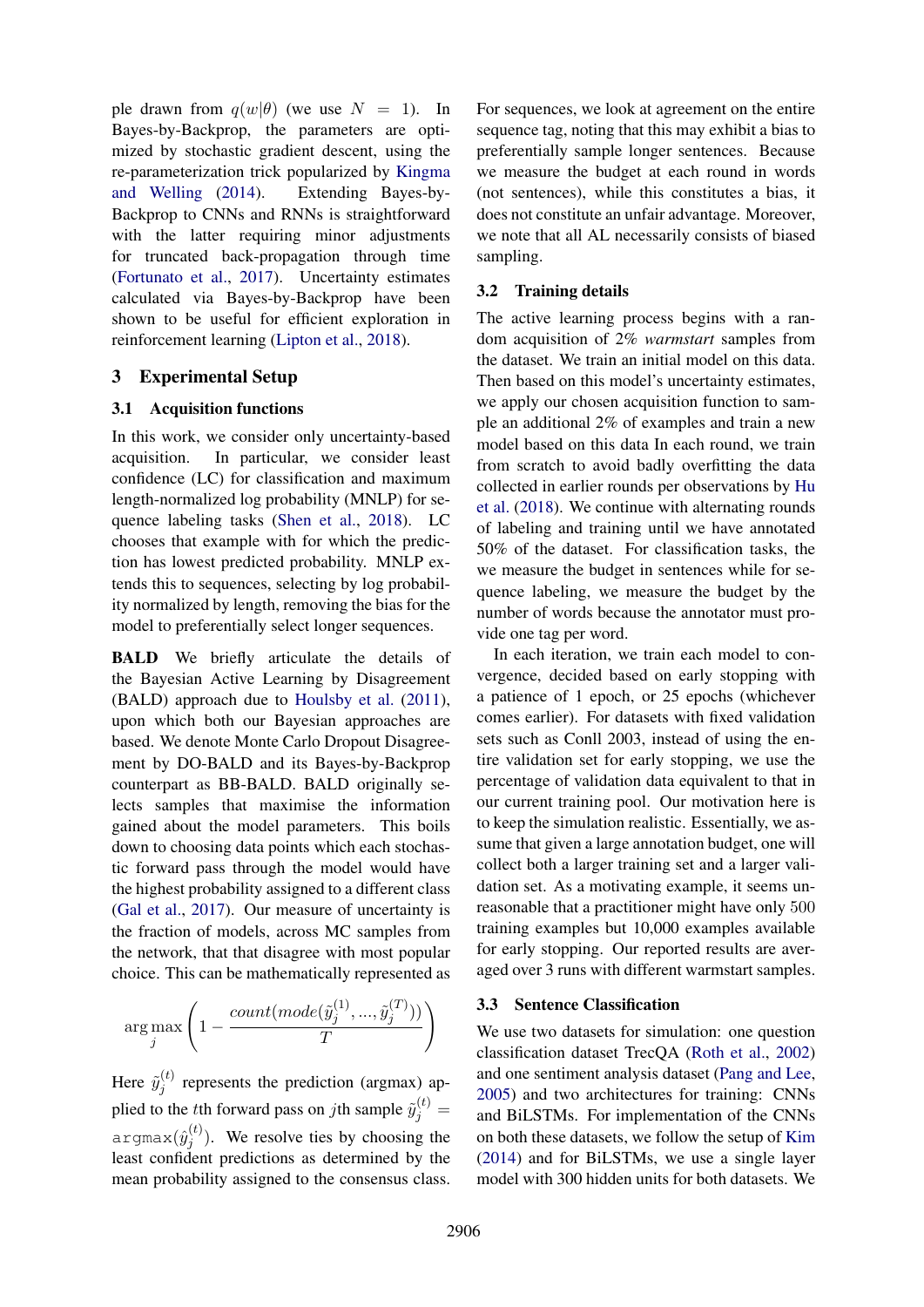ple drawn from  $q(w|\theta)$  (we use  $N = 1$ ). In Bayes-by-Backprop, the parameters are optimized by stochastic gradient descent, using the re-parameterization trick popularized by [Kingma](#page-5-12) [and Welling](#page-5-12) [\(2014\)](#page-5-12). Extending Bayes-by-Backprop to CNNs and RNNs is straightforward with the latter requiring minor adjustments for truncated back-propagation through time [\(Fortunato et al.,](#page-5-13) [2017\)](#page-5-13). Uncertainty estimates calculated via Bayes-by-Backprop have been shown to be useful for efficient exploration in reinforcement learning [\(Lipton et al.,](#page-5-14) [2018\)](#page-5-14).

# 3 Experimental Setup

### 3.1 Acquisition functions

In this work, we consider only uncertainty-based acquisition. In particular, we consider least confidence (LC) for classification and maximum length-normalized log probability (MNLP) for sequence labeling tasks [\(Shen et al.,](#page-5-4) [2018\)](#page-5-4). LC chooses that example with for which the prediction has lowest predicted probability. MNLP extends this to sequences, selecting by log probability normalized by length, removing the bias for the model to preferentially select longer sequences.

BALD We briefly articulate the details of the Bayesian Active Learning by Disagreement (BALD) approach due to [Houlsby et al.](#page-5-6) [\(2011\)](#page-5-6), upon which both our Bayesian approaches are based. We denote Monte Carlo Dropout Disagreement by DO-BALD and its Bayes-by-Backprop counterpart as BB-BALD. BALD originally selects samples that maximise the information gained about the model parameters. This boils down to choosing data points which each stochastic forward pass through the model would have the highest probability assigned to a different class [\(Gal et al.,](#page-5-3) [2017\)](#page-5-3). Our measure of uncertainty is the fraction of models, across MC samples from the network, that that disagree with most popular choice. This can be mathematically represented as

$$
\arg\max_{j}\left(1-\frac{count(model(\tilde{y}_{j}^{(1)},...,\tilde{y}_{j}^{(T)}))}{T}\right)
$$

Here  $\tilde{y}_i^{(t)}$  $j_j^{(t)}$  represents the prediction (argmax) applied to the *t*<sup>th</sup> forward pass on *j*th sample  $\tilde{y}_j^{(t)}$  = argmax $(\hat{y}^{(t)}_i$  $j^{(t)}$ ). We resolve ties by choosing the least confident predictions as determined by the mean probability assigned to the consensus class.

For sequences, we look at agreement on the entire sequence tag, noting that this may exhibit a bias to preferentially sample longer sentences. Because we measure the budget at each round in words (not sentences), while this constitutes a bias, it does not constitute an unfair advantage. Moreover, we note that all AL necessarily consists of biased sampling.

### 3.2 Training details

The active learning process begins with a random acquisition of 2% *warmstart* samples from the dataset. We train an initial model on this data. Then based on this model's uncertainty estimates, we apply our chosen acquisition function to sample an additional 2% of examples and train a new model based on this data In each round, we train from scratch to avoid badly overfitting the data collected in earlier rounds per observations by [Hu](#page-5-15) [et al.](#page-5-15) [\(2018\)](#page-5-15). We continue with alternating rounds of labeling and training until we have annotated 50% of the dataset. For classification tasks, the we measure the budget in sentences while for sequence labeling, we measure the budget by the number of words because the annotator must provide one tag per word.

In each iteration, we train each model to convergence, decided based on early stopping with a patience of 1 epoch, or 25 epochs (whichever comes earlier). For datasets with fixed validation sets such as Conll 2003, instead of using the entire validation set for early stopping, we use the percentage of validation data equivalent to that in our current training pool. Our motivation here is to keep the simulation realistic. Essentially, we assume that given a large annotation budget, one will collect both a larger training set and a larger validation set. As a motivating example, it seems unreasonable that a practitioner might have only 500 training examples but 10,000 examples available for early stopping. Our reported results are averaged over 3 runs with different warmstart samples.

#### 3.3 Sentence Classification

We use two datasets for simulation: one question classification dataset TrecQA [\(Roth et al.,](#page-5-16) [2002\)](#page-5-16) and one sentiment analysis dataset [\(Pang and Lee,](#page-5-17) [2005\)](#page-5-17) and two architectures for training: CNNs and BiLSTMs. For implementation of the CNNs on both these datasets, we follow the setup of [Kim](#page-5-18) [\(2014\)](#page-5-18) and for BiLSTMs, we use a single layer model with 300 hidden units for both datasets. We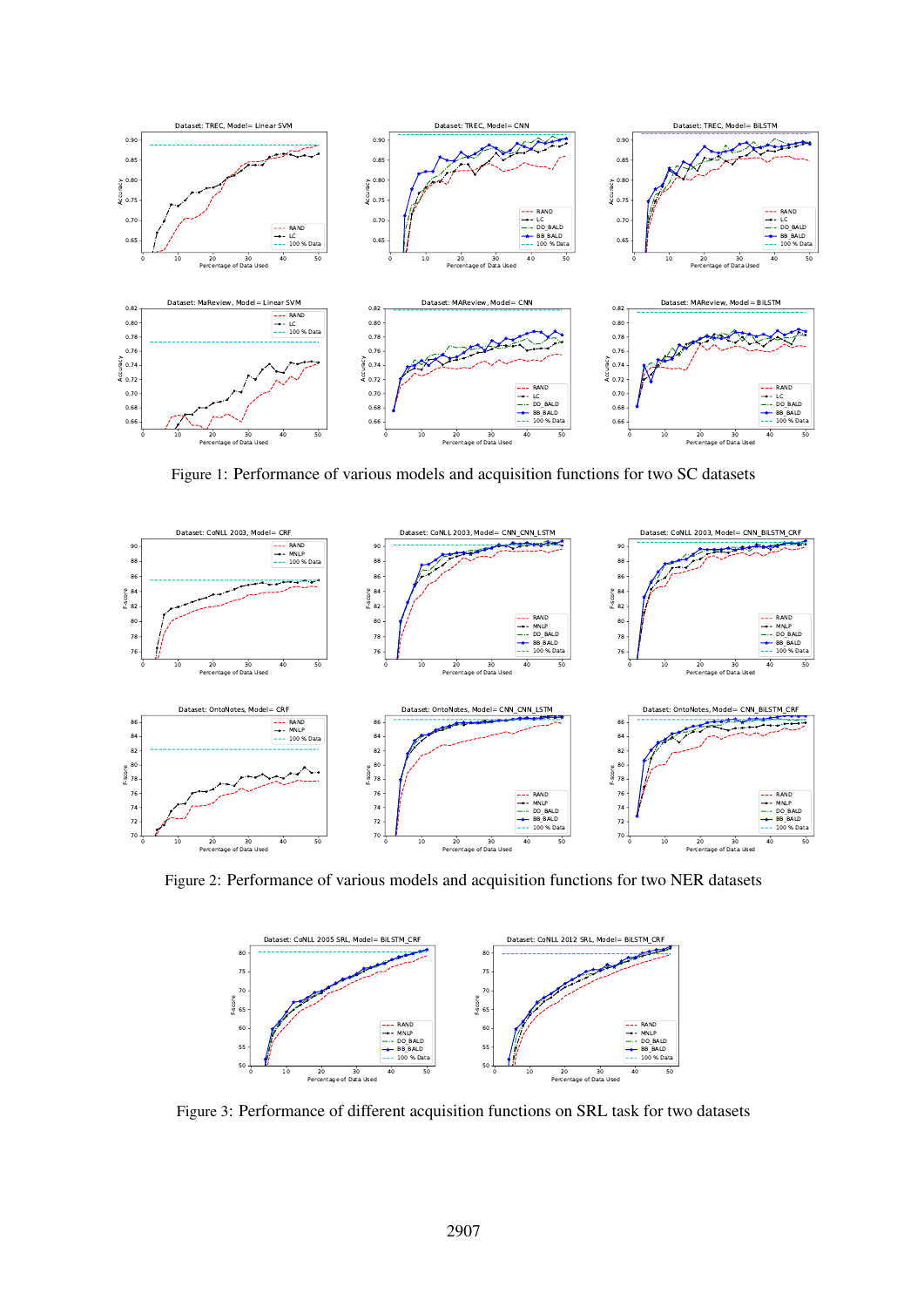<span id="page-3-0"></span>

Figure 1: Performance of various models and acquisition functions for two SC datasets

<span id="page-3-1"></span>

<span id="page-3-2"></span>Figure 2: Performance of various models and acquisition functions for two NER datasets



Figure 3: Performance of different acquisition functions on SRL task for two datasets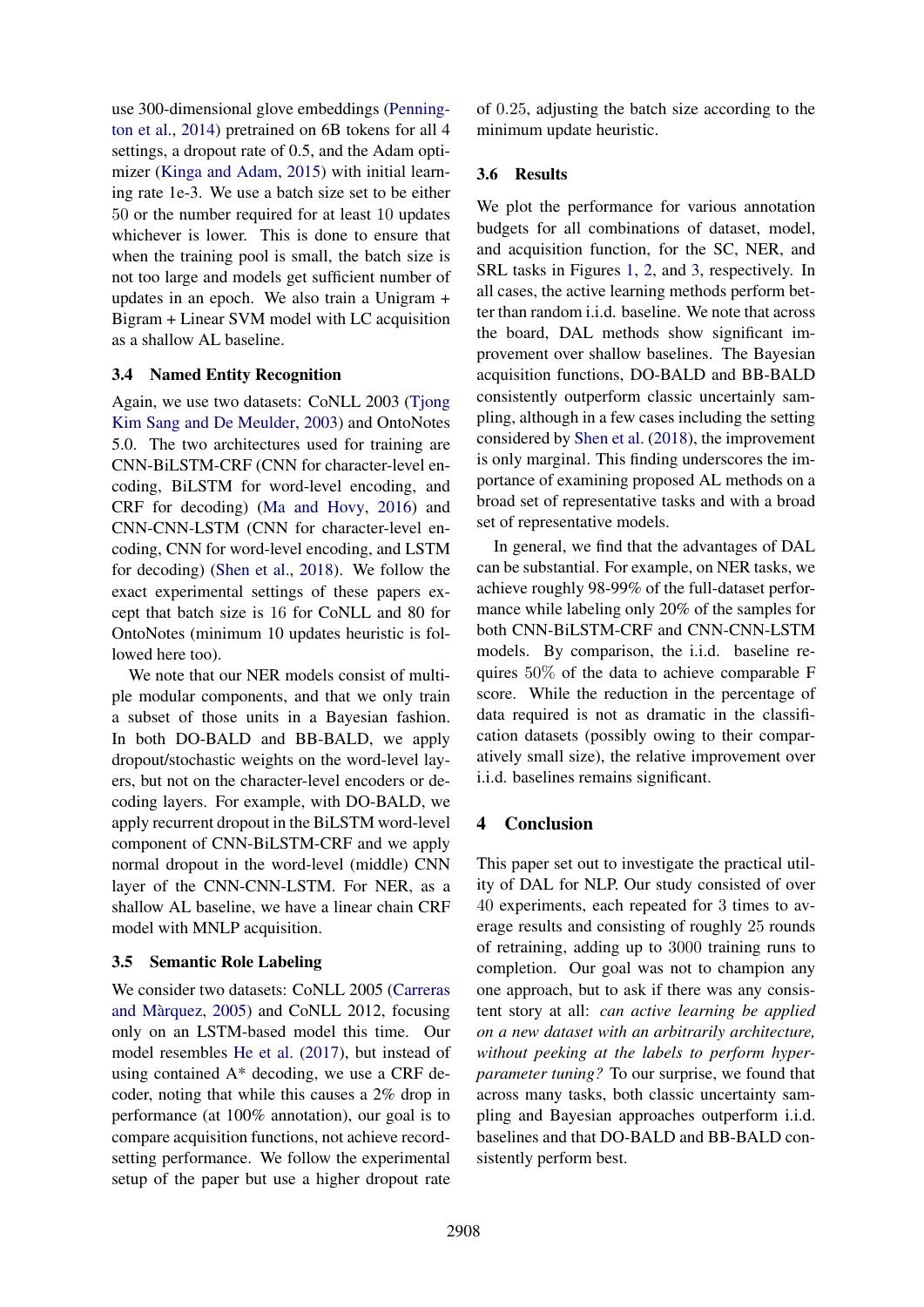use 300-dimensional glove embeddings [\(Penning](#page-5-19)[ton et al.,](#page-5-19) [2014\)](#page-5-19) pretrained on 6B tokens for all 4 settings, a dropout rate of 0.5, and the Adam optimizer [\(Kinga and Adam,](#page-5-20) [2015\)](#page-5-20) with initial learning rate 1e-3. We use a batch size set to be either 50 or the number required for at least 10 updates whichever is lower. This is done to ensure that when the training pool is small, the batch size is not too large and models get sufficient number of updates in an epoch. We also train a Unigram + Bigram + Linear SVM model with LC acquisition as a shallow AL baseline.

### 3.4 Named Entity Recognition

Again, we use two datasets: CoNLL 2003 [\(Tjong](#page-5-21) [Kim Sang and De Meulder,](#page-5-21) [2003\)](#page-5-21) and OntoNotes 5.0. The two architectures used for training are CNN-BiLSTM-CRF (CNN for character-level encoding, BiLSTM for word-level encoding, and CRF for decoding) [\(Ma and Hovy,](#page-5-22) [2016\)](#page-5-22) and CNN-CNN-LSTM (CNN for character-level encoding, CNN for word-level encoding, and LSTM for decoding) [\(Shen et al.,](#page-5-4) [2018\)](#page-5-4). We follow the exact experimental settings of these papers except that batch size is 16 for CoNLL and 80 for OntoNotes (minimum 10 updates heuristic is followed here too).

We note that our NER models consist of multiple modular components, and that we only train a subset of those units in a Bayesian fashion. In both DO-BALD and BB-BALD, we apply dropout/stochastic weights on the word-level layers, but not on the character-level encoders or decoding layers. For example, with DO-BALD, we apply recurrent dropout in the BiLSTM word-level component of CNN-BiLSTM-CRF and we apply normal dropout in the word-level (middle) CNN layer of the CNN-CNN-LSTM. For NER, as a shallow AL baseline, we have a linear chain CRF model with MNLP acquisition.

# 3.5 Semantic Role Labeling

We consider two datasets: CoNLL 2005 [\(Carreras](#page-5-23) and Màrquez,  $2005$ ) and CoNLL 2012, focusing only on an LSTM-based model this time. Our model resembles [He et al.](#page-5-24) [\(2017\)](#page-5-24), but instead of using contained A\* decoding, we use a CRF decoder, noting that while this causes a 2% drop in performance (at 100% annotation), our goal is to compare acquisition functions, not achieve recordsetting performance. We follow the experimental setup of the paper but use a higher dropout rate of 0.25, adjusting the batch size according to the minimum update heuristic.

# 3.6 Results

We plot the performance for various annotation budgets for all combinations of dataset, model, and acquisition function, for the SC, NER, and SRL tasks in Figures [1,](#page-3-0) [2,](#page-3-1) and [3,](#page-3-2) respectively. In all cases, the active learning methods perform better than random i.i.d. baseline. We note that across the board, DAL methods show significant improvement over shallow baselines. The Bayesian acquisition functions, DO-BALD and BB-BALD consistently outperform classic uncertainly sampling, although in a few cases including the setting considered by [Shen et al.](#page-5-4) [\(2018\)](#page-5-4), the improvement is only marginal. This finding underscores the importance of examining proposed AL methods on a broad set of representative tasks and with a broad set of representative models.

In general, we find that the advantages of DAL can be substantial. For example, on NER tasks, we achieve roughly 98-99% of the full-dataset performance while labeling only 20% of the samples for both CNN-BiLSTM-CRF and CNN-CNN-LSTM models. By comparison, the i.i.d. baseline requires 50% of the data to achieve comparable F score. While the reduction in the percentage of data required is not as dramatic in the classification datasets (possibly owing to their comparatively small size), the relative improvement over i.i.d. baselines remains significant.

# 4 Conclusion

This paper set out to investigate the practical utility of DAL for NLP. Our study consisted of over 40 experiments, each repeated for 3 times to average results and consisting of roughly 25 rounds of retraining, adding up to 3000 training runs to completion. Our goal was not to champion any one approach, but to ask if there was any consistent story at all: *can active learning be applied on a new dataset with an arbitrarily architecture, without peeking at the labels to perform hyperparameter tuning?* To our surprise, we found that across many tasks, both classic uncertainty sampling and Bayesian approaches outperform i.i.d. baselines and that DO-BALD and BB-BALD consistently perform best.